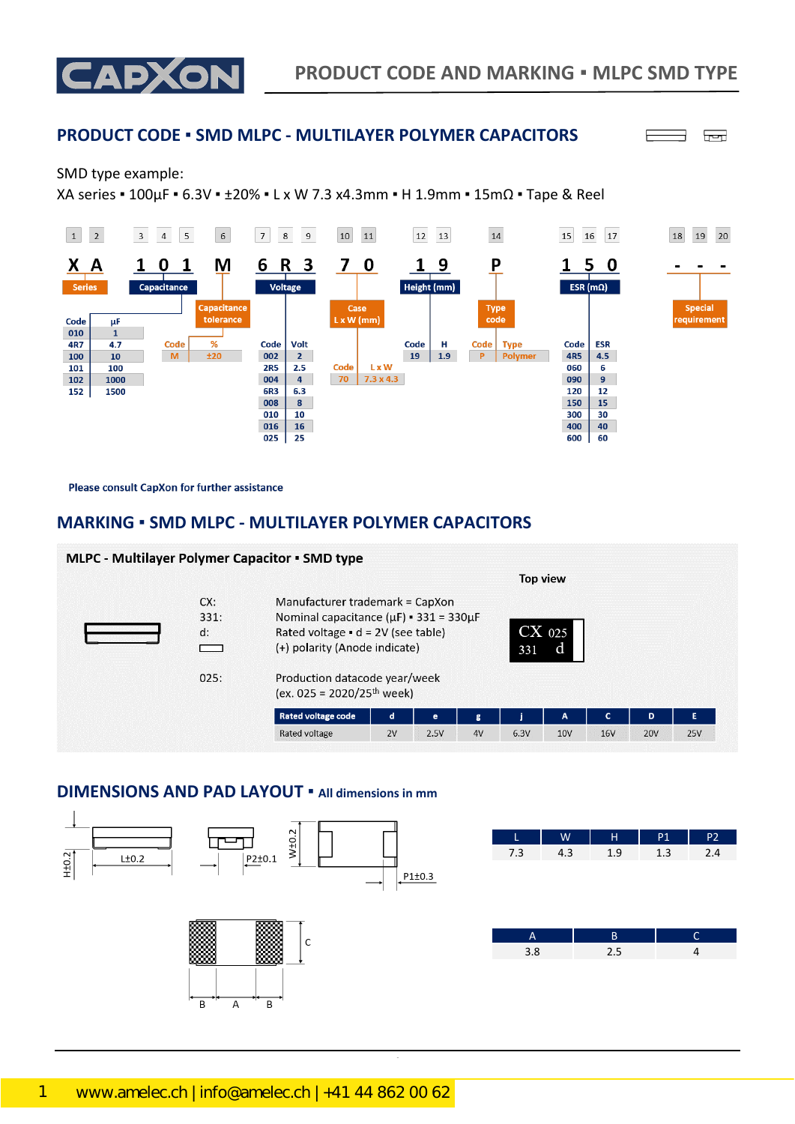

### **PRODUCT CODE ▪ SMD MLPC - MULTILAYER POLYMER CAPACITORS**

۹ الصا

╒

#### SMD type example:

XA series ▪ 100µF ▪ 6.3V ▪ ±20% ▪ L x W 7.3 x4.3mm ▪ H 1.9mm ▪ 15mΩ ▪ Tape & Reel



Please consult CapXon for further assistance

## **MARKING ▪ SMD MLPC - MULTILAYER POLYMER CAPACITORS**

|                           | <b>MLPC - Multilayer Polymer Capacitor • SMD type</b>                                                                                                                                                                                          |             |      |               |      | <b>Top view</b> |            |            |            |
|---------------------------|------------------------------------------------------------------------------------------------------------------------------------------------------------------------------------------------------------------------------------------------|-------------|------|---------------|------|-----------------|------------|------------|------------|
| CX:<br>331:<br>d:<br>025: | Manufacturer trademark = CapXon<br>Nominal capacitance $(\mu F)$ = 331 = 330 $\mu F$<br>Rated voltage $\bullet$ d = 2V (see table)<br>(+) polarity (Anode indicate)<br>Production datacode year/week<br>(ex. 025 = 2020/25 <sup>th</sup> week) |             | 331  | $CX$ 025<br>d |      |                 |            |            |            |
|                           | <b>Rated voltage code</b>                                                                                                                                                                                                                      | $\mathbf d$ | е    | g             |      | A               | ∽          | D          | G          |
|                           | Rated voltage                                                                                                                                                                                                                                  | 2V          | 2.5V | 4V            | 6.3V | 10 <sub>V</sub> | <b>16V</b> | <b>20V</b> | <b>25V</b> |

#### **DIMENSIONS AND PAD LAYOUT ▪ All dimensions in mm**





| $\sqrt{1.3}$<br>1.9 | 4.3 | 7.3 |
|---------------------|-----|-----|
|                     |     |     |
|                     |     |     |
|                     |     |     |

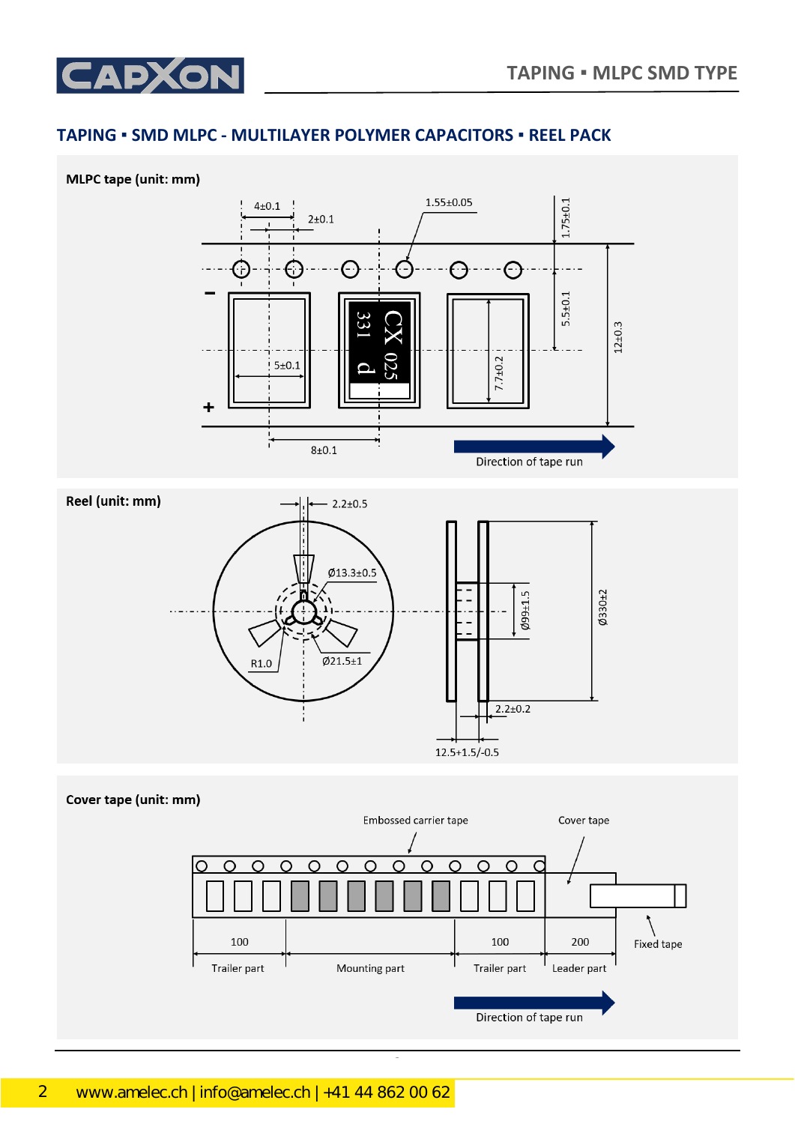

# **TAPING ▪ SMD MLPC - MULTILAYER POLYMER CAPACITORS ▪ REEL PACK**



 $C_{\rm eff}$  ,  $C_{\rm eff}$  ,  $C_{\rm eff}$   $\sim$   $0.31$   $\pm$   $0.31$   $\pm$   $0.31$   $\pm$   $0.31$   $\pm$   $0.31$   $\pm$   $0.31$   $\pm$   $0.31$   $\pm$   $0.31$   $\pm$   $0.31$   $\pm$   $0.31$   $\pm$   $0.31$   $\pm$   $0.31$   $\pm$   $0.31$   $\pm$   $0.31$   $\pm$   $0.31$   $\pm$   $0.31$